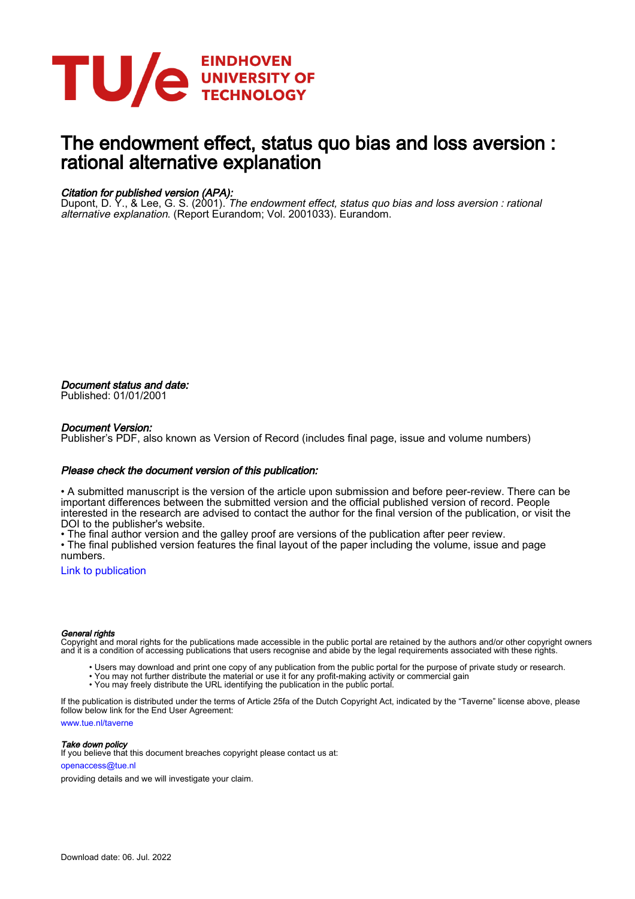

# The endowment effect, status quo bias and loss aversion : rational alternative explanation

#### Citation for published version (APA):

Dupont, D. Y., & Lee, G. S. (2001). *The endowment effect, status quo bias and loss aversion : rational* alternative explanation. (Report Eurandom; Vol. 2001033). Eurandom.

Document status and date: Published: 01/01/2001

#### Document Version:

Publisher's PDF, also known as Version of Record (includes final page, issue and volume numbers)

#### Please check the document version of this publication:

• A submitted manuscript is the version of the article upon submission and before peer-review. There can be important differences between the submitted version and the official published version of record. People interested in the research are advised to contact the author for the final version of the publication, or visit the DOI to the publisher's website.

• The final author version and the galley proof are versions of the publication after peer review.

• The final published version features the final layout of the paper including the volume, issue and page numbers.

[Link to publication](https://research.tue.nl/en/publications/38d78a5c-9e72-4e8b-8677-d4f75662d9c9)

#### General rights

Copyright and moral rights for the publications made accessible in the public portal are retained by the authors and/or other copyright owners and it is a condition of accessing publications that users recognise and abide by the legal requirements associated with these rights.

- Users may download and print one copy of any publication from the public portal for the purpose of private study or research.
- You may not further distribute the material or use it for any profit-making activity or commercial gain
- You may freely distribute the URL identifying the publication in the public portal.

If the publication is distributed under the terms of Article 25fa of the Dutch Copyright Act, indicated by the "Taverne" license above, please follow below link for the End User Agreement:

www.tue.nl/taverne

**Take down policy**<br>If you believe that this document breaches copyright please contact us at:

openaccess@tue.nl

providing details and we will investigate your claim.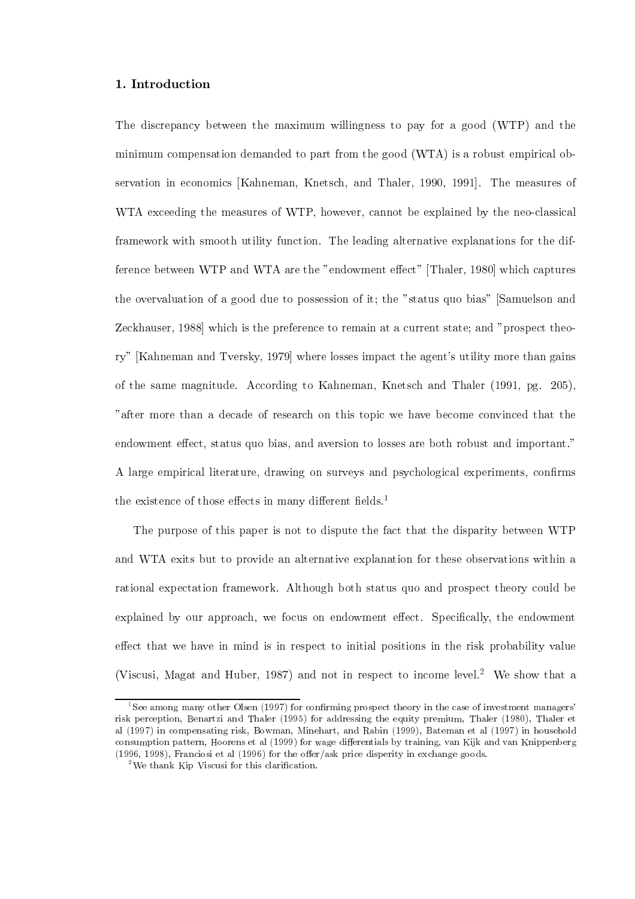### 1. Introduction

The discrepancy between the maximum willingness to pay for a good (WTP) and the minimum compensation demanded to part from the good (WTA) is a robust empirical observation in economics [Kahneman, Knetsch, and Thaler, 1990, 1991]. The measures of WTA exceeding the measures of WTP, however, cannot be explained by the neo-classical framework with smooth utility function. The leading alternative explanations for the difference between WTP and WTA are the "endowment effect" [Thaler, 1980] which captures the overvaluation of a good due to possession of it; the "status quo bias" [Samuelson and Zeckhauser, 1988 which is the preference to remain at a current state; and "prospect theory" [Kahneman and Tversky, 1979] where losses impact the agent's utility more than gains of the same magnitude. According to Kahneman, Knetsch and Thaler (1991, pg. 205), "after more than a decade of research on this topic we have become convinced that the endowment effect, status quo bias, and aversion to losses are both robust and important." A large empirical literature, drawing on surveys and psychological experiments, confirms the existence of those effects in many different fields.<sup>1</sup>

The purpose of this paper is not to dispute the fact that the disparity between WTP and WTA exits but to provide an alternative explanation for these observations within a rational expectation framework. Although both status quo and prospect theory could be explained by our approach, we focus on endowment effect. Specifically, the endowment effect that we have in mind is in respect to initial positions in the risk probability value (Viscusi, Magat and Huber, 1987) and not in respect to income level.<sup>2</sup> We show that a

 ${}^{1}$ See among many other Olsen (1997) for confirming prospect theory in the case of investment managers' risk perception, Benartzi and Thaler (1995) for addressing the equity premium, Thaler (1980), Thaler et al (1997) in compensating risk, Bowman, Minehart, and Rabin (1999), Bateman et al (1997) in household consumption pattern, Hoorens et al (1999) for wage differentials by training, van Kijk and van Knippenberg  $(1996, 1998)$ , Franciosi et al  $(1996)$  for the offer/ask price disperity in exchange goods.

 $2$  We thank Kip Viscusi for this clarification.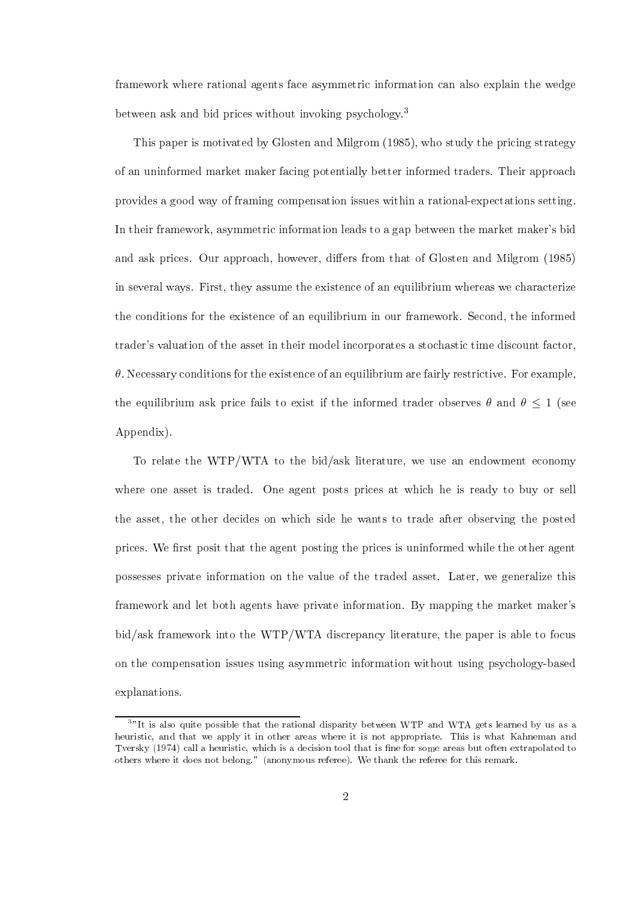framework where rational agents face asymmetric information can also explain the wedge between ask and bid prices without invoking psychology.<sup>3</sup>

This paper is motivated by Glosten and Milgrom (1985), who study the pricing strategy of an uninformed market maker facing potentially better informed traders. Their approach provides a good way of framing compensation issues within a rational-expectations setting. In their framework, asymmetric information leads to a gap between the market maker's bid and ask prices. Our approach, however, differs from that of Glosten and Milgrom (1985) in several ways. First, they assume the existence of an equilibrium whereas we characterize the conditions for the existence of an equilibrium in our framework. Second, the informed trader's valuation of the asset in their model incorporates a stochastic time discount factor.  $\theta$ . Necessary conditions for the existence of an equilibrium are fairly restrictive. For example, the equilibrium ask price fails to exist if the informed trader observes  $\theta$  and  $\theta \leq 1$  (see  $Appendix)$ .

To relate the WTP/WTA to the bid/ask literature, we use an endowment economy where one asset is traded. One agent posts prices at which he is ready to buy or sell the asset, the other decides on which side he wants to trade after observing the posted prices. We first posit that the agent posting the prices is uninformed while the other agent possesses private information on the value of the traded asset. Later, we generalize this framework and let both agents have private information. By mapping the market maker's bid/ask framework into the WTP/WTA discrepancy literature, the paper is able to focus on the compensation issues using asymmetric information without using psychology-based explanations.

 $3$ "It is also quite possible that the rational disparity between WTP and WTA gets learned by us as a heuristic, and that we apply it in other areas where it is not appropriate. This is what Kahneman and Tversky (1974) call a heuristic, which is a decision tool that is fine for some areas but often extrapolated to others where it does not belong." (anonymous referee). We thank the referee for this remark.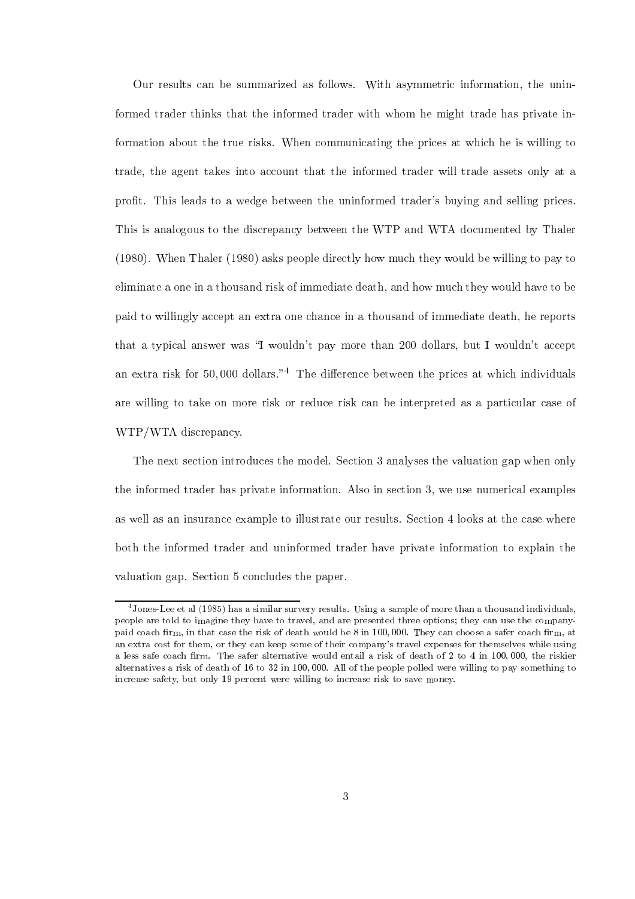Our results can be summarized as follows. With asymmetric information, the uninformed trader thinks that the informed trader with whom he might trade has private information about the true risks. When communicating the prices at which he is willing to trade, the agent takes into account that the informed trader will trade assets only at a profit. This leads to a wedge between the uninformed trader's buying and selling prices. This is analogous to the discrepancy between the WTP and WTA documented by Thaler (1980). When Thaler (1980) asks people directly how much they would be willing to pay to eliminate a one in a thousand risk of immediate death, and how much they would have to be paid to willingly accept an extra one chance in a thousand of immediate death, he reports that a typical answer was "I wouldn't pay more than 200 dollars, but I wouldn't accept an extra risk for  $50,000$  dollars."<sup>4</sup> The difference between the prices at which individuals are willing to take on more risk or reduce risk can be interpreted as a particular case of WTP/WTA discrepancy.

The next section introduces the model. Section 3 analyses the valuation gap when only the informed trader has private information. Also in section 3, we use numerical examples as well as an insurance example to illustrate our results. Section 4 looks at the case where both the informed trader and uninformed trader have private information to explain the valuation gap. Section 5 concludes the paper.

 $^4$ Jones-Lee et al (1985) has a similar survery results. Using a sample of more than a thousand individuals, people are told to imagine they have to travel, and are presented three options; they can use the companypaid coach firm, in that case the risk of death would be 8 in 100,000. They can choose a safer coach firm, at an extra cost for them, or they can keep some of their company's travel expenses for themselves while using a less safe coach firm. The safer alternative would entail a risk of death of 2 to 4 in 100,000, the riskier alternatives a risk of death of 16 to 32 in 100,000. All of the people polled were willing to pay something to increase safety, but only 19 percent were willing to increase risk to save money.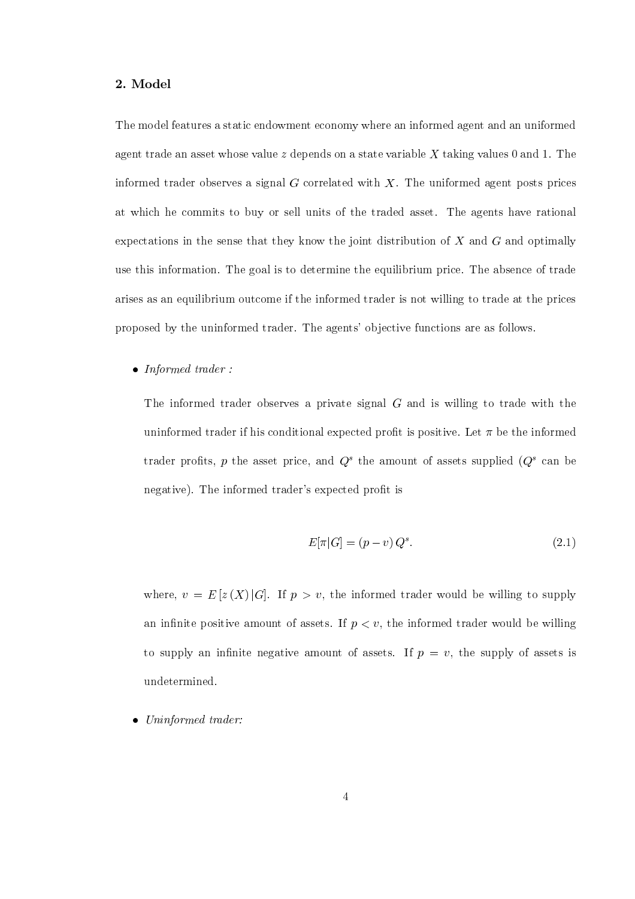# 2. Model

The model features a static endowment economy where an informed agent and an uniformed agent trade an asset whose value  $z$  depends on a state variable X taking values 0 and 1. The informed trader observes a signal G correlated with X. The uniformed agent posts prices at which he commits to buy or sell units of the traded asset. The agents have rational expectations in the sense that they know the joint distribution of  $X$  and  $G$  and optimally use this information. The goal is to determine the equilibrium price. The absence of trade arises as an equilibrium outcome if the informed trader is not willing to trade at the prices proposed by the uninformed trader. The agents' objective functions are as follows.

• Informed trader:

The informed trader observes a private signal  $G$  and is willing to trade with the uninformed trader if his conditional expected profit is positive. Let  $\pi$  be the informed trader profits, p the asset price, and  $Q<sup>s</sup>$  the amount of assets supplied  $(Q<sup>s</sup>$  can be negative). The informed trader's expected profit is

$$
E[\pi|G] = (p - v)Qs.
$$
\n
$$
(2.1)
$$

where,  $v = E [z(X) | G]$ . If  $p > v$ , the informed trader would be willing to supply an infinite positive amount of assets. If  $p \leq v$ , the informed trader would be willing to supply an infinite negative amount of assets. If  $p = v$ , the supply of assets is undetermined.

 $Uninformed\;trader:$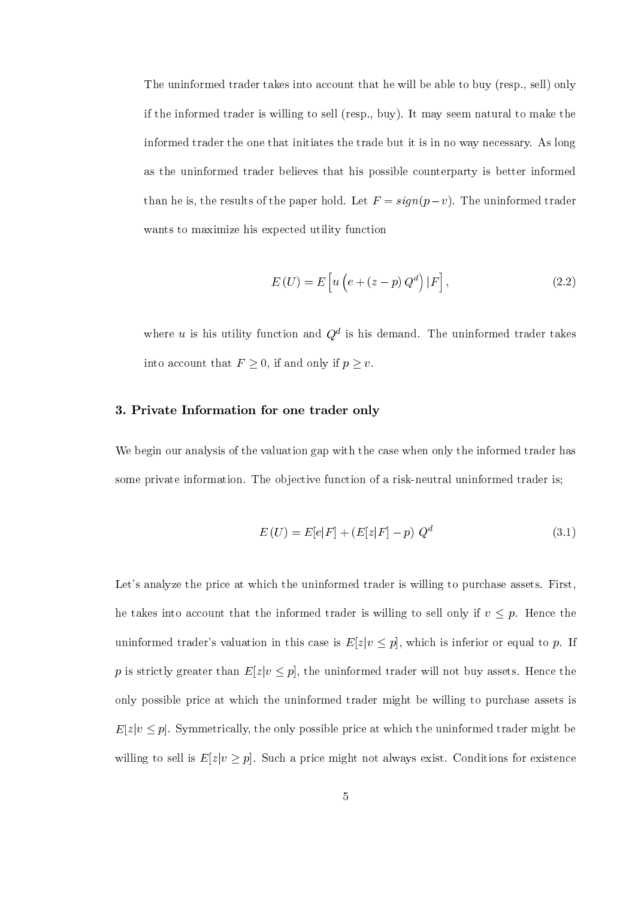The uninformed trader takes into account that he will be able to buy (resp., sell) only if the informed trader is willing to sell (resp., buy). It may seem natural to make the informed trader the one that initiates the trade but it is in no way necessary. As long as the uninformed trader believes that his possible counterparty is better informed than he is, the results of the paper hold. Let  $F = sign(p-v)$ . The uninformed trader wants to maximize his expected utility function

$$
E\left(U\right) = E\left[u\left(e + (z - p)Q^d\right)|F\right],\tag{2.2}
$$

where u is his utility function and  $Q^d$  is his demand. The uninformed trader takes into account that  $F \geq 0$ , if and only if  $p \geq v$ .

# 3. Private Information for one trader only

We begin our analysis of the valuation gap with the case when only the informed trader has some private information. The objective function of a risk-neutral uninformed trader is;

$$
E\left(U\right) = E[e|F] + \left(E[z|F] - p\right)Q^d\tag{3.1}
$$

Let's analyze the price at which the uninformed trader is willing to purchase assets. First, he takes into account that the informed trader is willing to sell only if  $v \leq p$ . Hence the uninformed trader's valuation in this case is  $E[z|v \leq p]$ , which is inferior or equal to p. If p is strictly greater than  $E[z|v \leq p]$ , the uninformed trader will not buy assets. Hence the only possible price at which the uninformed trader might be willing to purchase assets is  $E[z|v \leq p]$ . Symmetrically, the only possible price at which the uninformed trader might be willing to sell is  $E[z|v \geq p]$ . Such a price might not always exist. Conditions for existence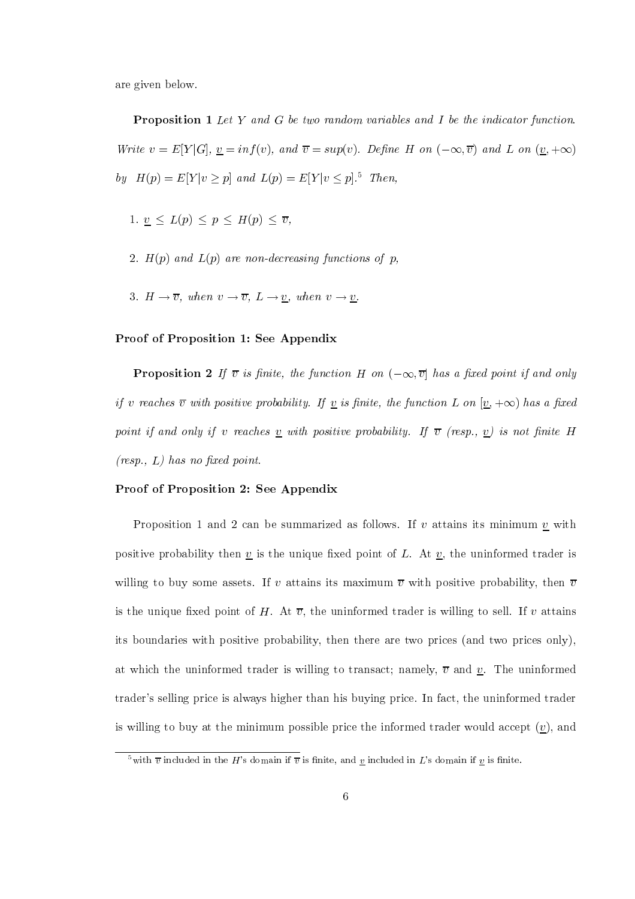are given below.

**Proposition 1** Let Y and G be two random variables and I be the indicator function. Write  $v = E[Y|G], \underline{v} = inf(v),$  and  $\overline{v} = sup(v).$  Define H on  $(-\infty, \overline{v})$  and L on  $(\underline{v}, +\infty)$ . by  $H(p) = E[Y|v \geq p]$  and  $L(p) = E[Y|v \leq p]$ .<sup>5</sup> Then,

1.  $y \leq L(p) \leq p \leq H(p) \leq \overline{v}$ ,

- 2.  $H(p)$  and  $L(p)$  are non-decreasing functions of p,
- 3.  $H \rightarrow \overline{v}$ , when  $v \rightarrow \overline{v}$ ,  $L \rightarrow \underline{v}$ , when  $v \rightarrow \underline{v}$ .

#### Proof of Proposition 1: See Appendix

**Proposition 2** If  $\overline{v}$  is finite, the function H on  $(-\infty, \overline{v}]$  has a fixed point if and only if v reaches  $\overline{v}$  with positive probability. If <u>v</u> is finite, the function L on  $[\underline{v}, +\infty)$  has a fixed point if and only if v reaches  $\underline{v}$  with positive probability. If  $\overline{v}$  (resp.,  $\underline{v}$ ) is not finite H  $(resp., L)$  has no fixed point.

#### Proof of Proposition 2: See Appendix

Proposition 1 and 2 can be summarized as follows. If v attains its minimum v with positive probability then  $\underline{v}$  is the unique fixed point of L. At  $\underline{v}$ , the uninformed trader is willing to buy some assets. If v attains its maximum  $\bar{v}$  with positive probability, then  $\bar{v}$ is the unique fixed point of H. At  $\overline{v}$ , the uninformed trader is willing to sell. If v attains its boundaries with positive probability, then there are two prices (and two prices only). at which the uninformed trader is willing to transact; namely,  $\overline{v}$  and  $\underline{v}$ . The uninformed trader's selling price is always higher than his buying price. In fact, the uninformed trader is willing to buy at the minimum possible price the informed trader would accept  $(v)$ , and

<sup>&</sup>lt;sup>5</sup> with  $\overline{v}$  included in the H<sup>t</sup>s domain if  $\overline{v}$  is finite, and <u>v</u> included in L's domain if <u>v</u> is finite.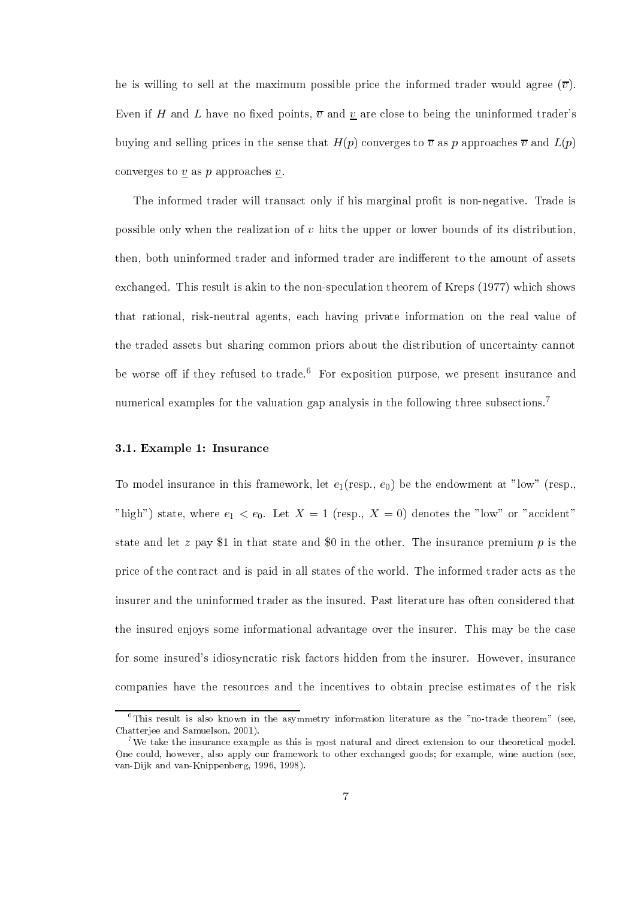he is willing to sell at the maximum possible price the informed trader would agree  $(\overline{v})$ . Even if H and L have no fixed points,  $\overline{v}$  and v are close to being the uninformed trader's buying and selling prices in the sense that  $H(p)$  converges to  $\overline{v}$  as p approaches  $\overline{v}$  and  $L(p)$ converges to  $\underline{v}$  as p approaches  $\underline{v}$ .

The informed trader will transact only if his marginal profit is non-negative. Trade is possible only when the realization of  $v$  hits the upper or lower bounds of its distribution. then, both uninformed trader and informed trader are indifferent to the amount of assets exchanged. This result is akin to the non-speculation theorem of Kreps (1977) which shows that rational, risk-neutral agents, each having private information on the real value of the traded assets but sharing common priors about the distribution of uncertainty cannot be worse off if they refused to trade.<sup>6</sup> For exposition purpose, we present insurance and numerical examples for the valuation gap analysis in the following three subsections.<sup>7</sup>

#### 3.1. Example 1: Insurance

To model insurance in this framework, let  $e_1$ (resp.,  $e_0$ ) be the endowment at "low" (resp., "high") state, where  $e_1 < e_0$ . Let  $X = 1$  (resp.,  $X = 0$ ) denotes the "low" or "accident" state and let z pay \$1 in that state and \$0 in the other. The insurance premium  $p$  is the price of the contract and is paid in all states of the world. The informed trader acts as the insurer and the uninformed trader as the insured. Past literature has often considered that the insured enjoys some informational advantage over the insurer. This may be the case for some insured's idiosyncratic risk factors hidden from the insurer. However, insurance companies have the resources and the incentives to obtain precise estimates of the risk

 ${}^6$ This result is also known in the asymmetry information literature as the "no-trade theorem" (see, Chatterjee and Samuelson, 2001).

<sup>&</sup>lt;sup>7</sup>We take the insurance example as this is most natural and direct extension to our theoretical model. One could, however, also apply our framework to other exchanged goods; for example, wine auction (see, van-Dijk and van-Knippenberg, 1996, 1998).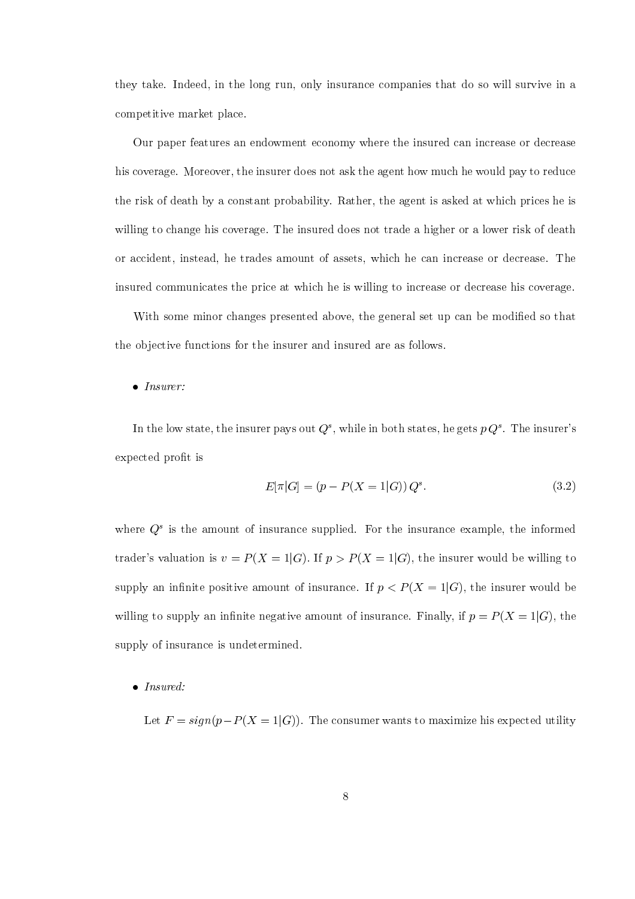they take. Indeed, in the long run, only insurance companies that do so will survive in a competitive market place.

Our paper features an endowment economy where the insured can increase or decrease his coverage. Moreover, the insurer does not ask the agent how much he would pay to reduce the risk of death by a constant probability. Rather, the agent is asked at which prices he is willing to change his coverage. The insured does not trade a higher or a lower risk of death or accident, instead, he trades amount of assets, which he can increase or decrease. The insured communicates the price at which he is willing to increase or decrease his coverage.

With some minor changes presented above, the general set up can be modified so that the objective functions for the insurer and insured are as follows.

 $\bullet$  *Insurer:* 

In the low state, the insurer pays out  $Q^s$ , while in both states, he gets  $pQ^s$ . The insurer's expected profit is

$$
E[\pi|G] = (p - P(X = 1|G))Q^{s}.
$$
\n(3.2)

where  $Q^s$  is the amount of insurance supplied. For the insurance example, the informed trader's valuation is  $v = P(X = 1|G)$ . If  $p > P(X = 1|G)$ , the insurer would be willing to supply an infinite positive amount of insurance. If  $p < P(X = 1|G)$ , the insurer would be willing to supply an infinite negative amount of insurance. Finally, if  $p = P(X = 1|G)$ , the supply of insurance is undetermined.

 $\bullet$  *Insured:* 

Let  $F = sign(p - P(X = 1|G))$ . The consumer wants to maximize his expected utility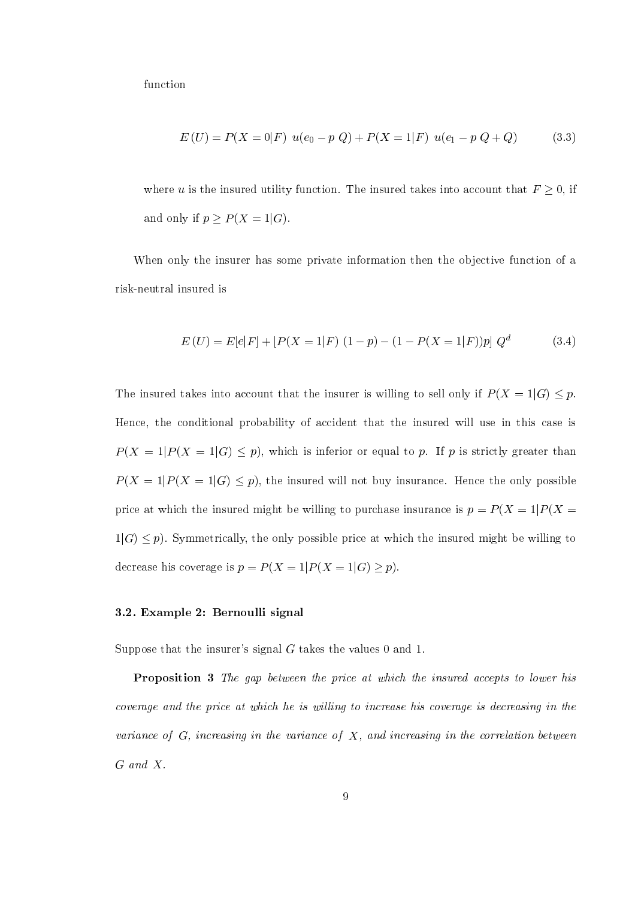function

$$
E(U) = P(X = 0|F) \ u(e_0 - p \ Q) + P(X = 1|F) \ u(e_1 - p \ Q + Q) \tag{3.3}
$$

where u is the insured utility function. The insured takes into account that  $F \geq 0$ , if and only if  $p \geq P(X = 1|G)$ .

When only the insurer has some private information then the objective function of a risk-neutral insured is

$$
E\left(U\right) = E[e|F] + [P(X=1|F) (1-p) - (1 - P(X=1|F))p] Qd \tag{3.4}
$$

The insured takes into account that the insurer is willing to sell only if  $P(X = 1| G) \leq p$ . Hence, the conditional probability of accident that the insured will use in this case is  $P(X = 1| P(X = 1|G) \leq p)$ , which is inferior or equal to p. If p is strictly greater than  $P(X = 1| P(X = 1| G) \leq p)$ , the insured will not buy insurance. Hence the only possible price at which the insured might be willing to purchase insurance is  $p = P(X = 1| P(X =$  $1|G| \leq p$ ). Symmetrically, the only possible price at which the insured might be willing to decrease his coverage is  $p = P(X = 1| P(X = 1| G) \ge p)$ .

#### 3.2. Example 2: Bernoulli signal

Suppose that the insurer's signal  $G$  takes the values 0 and 1.

**Proposition 3** The gap between the price at which the insured accepts to lower his coverage and the price at which he is willing to increase his coverage is decreasing in the variance of  $G$ , increasing in the variance of  $X$ , and increasing in the correlation between  $G$  and  $X$ .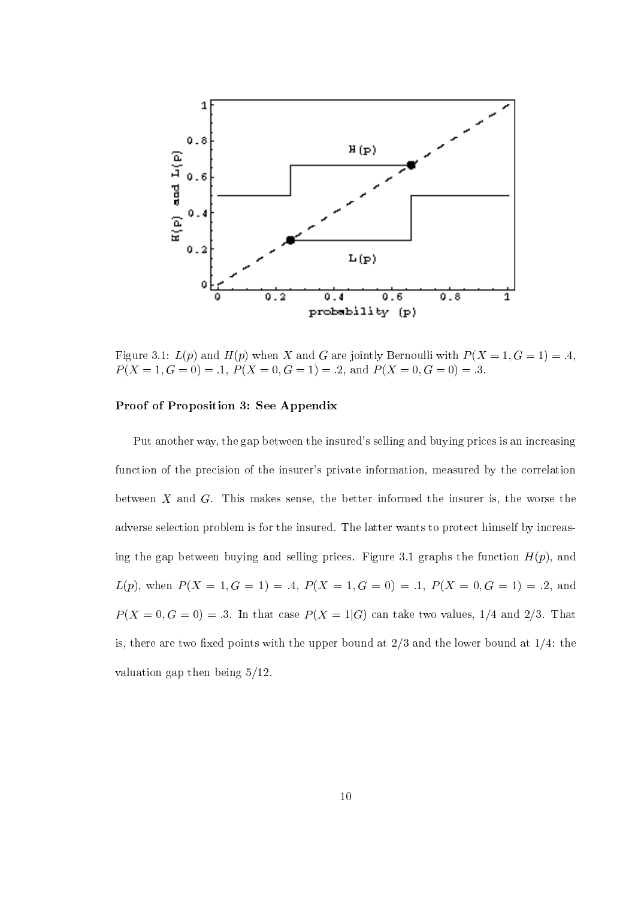

Figure 3.1:  $L(p)$  and  $H(p)$  when X and G are jointly Bernoulli with  $P(X = 1, G = 1) = .4$ ,  $P(X = 1, G = 0) = .1, P(X = 0, G = 1) = .2, \text{ and } P(X = 0, G = 0) = .3.$ 

### Proof of Proposition 3: See Appendix

Put another way, the gap between the insured's selling and buying prices is an increasing function of the precision of the insurer's private information, measured by the correlation between X and G. This makes sense, the better informed the insurer is, the worse the adverse selection problem is for the insured. The latter wants to protect himself by increasing the gap between buying and selling prices. Figure 3.1 graphs the function  $H(p)$ , and  $L(p)$ , when  $P(X = 1, G = 1) = .4$ ,  $P(X = 1, G = 0) = .1$ ,  $P(X = 0, G = 1) = .2$ , and  $P(X = 0, G = 0) = .3$ . In that case  $P(X = 1|G)$  can take two values, 1/4 and 2/3. That is, there are two fixed points with the upper bound at  $2/3$  and the lower bound at  $1/4$ : the valuation gap then being  $5/12$ .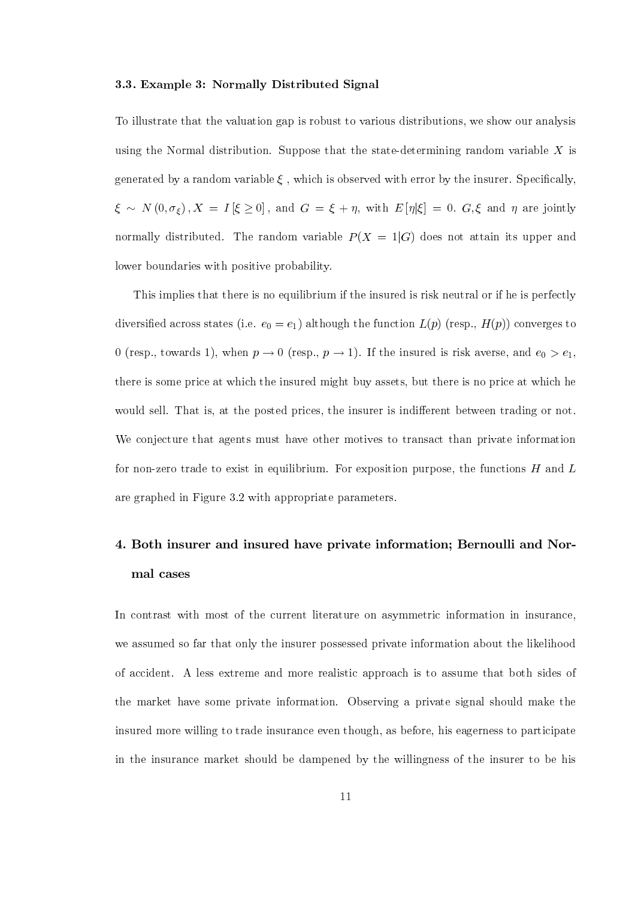#### 3.3. Example 3: Normally Distributed Signal

To illustrate that the valuation gap is robust to various distributions, we show our analysis using the Normal distribution. Suppose that the state-determining random variable  $X$  is generated by a random variable  $\xi$ , which is observed with error by the insurer. Specifically,  $\xi \sim N(0, \sigma_{\xi}), X = I[\xi \ge 0],$  and  $G = \xi + \eta$ , with  $E[\eta|\xi] = 0$ .  $G, \xi$  and  $\eta$  are jointly normally distributed. The random variable  $P(X = 1|G)$  does not attain its upper and lower boundaries with positive probability.

This implies that there is no equilibrium if the insured is risk neutral or if he is perfectly diversified across states (i.e.  $e_0 = e_1$ ) although the function  $L(p)$  (resp.,  $H(p)$ ) converges to 0 (resp., towards 1), when  $p \to 0$  (resp.,  $p \to 1$ ). If the insured is risk averse, and  $e_0 > e_1$ , there is some price at which the insured might buy assets, but there is no price at which he would sell. That is, at the posted prices, the insurer is indifferent between trading or not. We conjecture that agents must have other motives to transact than private information for non-zero trade to exist in equilibrium. For exposition purpose, the functions  $H$  and  $L$ are graphed in Figure 3.2 with appropriate parameters.

# 4. Both insurer and insured have private information; Bernoulli and Normal cases

In contrast with most of the current literature on asymmetric information in insurance, we assumed so far that only the insurer possessed private information about the likelihood of accident. A less extreme and more realistic approach is to assume that both sides of the market have some private information. Observing a private signal should make the insured more willing to trade insurance even though, as before, his eagerness to participate in the insurance market should be dampened by the willingness of the insurer to be his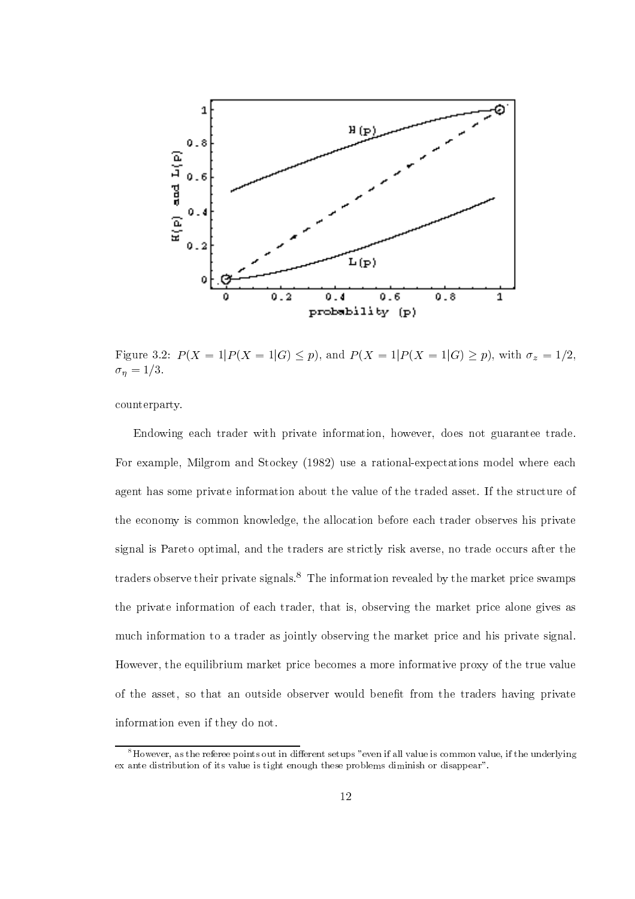

Figure 3.2:  $P(X = 1 | P(X = 1 | G) \le p)$ , and  $P(X = 1 | P(X = 1 | G) \ge p)$ , with  $\sigma_z = 1/2$ ,  $\sigma_n = 1/3.$ 

counterparty.

Endowing each trader with private information, however, does not guarantee trade. For example, Milgrom and Stockey (1982) use a rational-expectations model where each agent has some private information about the value of the traded asset. If the structure of the economy is common knowledge, the allocation before each trader observes his private signal is Pareto optimal, and the traders are strictly risk averse, no trade occurs after the traders observe their private signals.<sup>8</sup> The information revealed by the market price swamps the private information of each trader, that is, observing the market price alone gives as much information to a trader as jointly observing the market price and his private signal. However, the equilibrium market price becomes a more informative proxy of the true value of the asset, so that an outside observer would benefit from the traders having private information even if they do not.

 ${}^8$ However, as the referee points out in different setups "even if all value is common value, if the underlying ex ante distribution of its value is tight enough these problems diminish or disappear".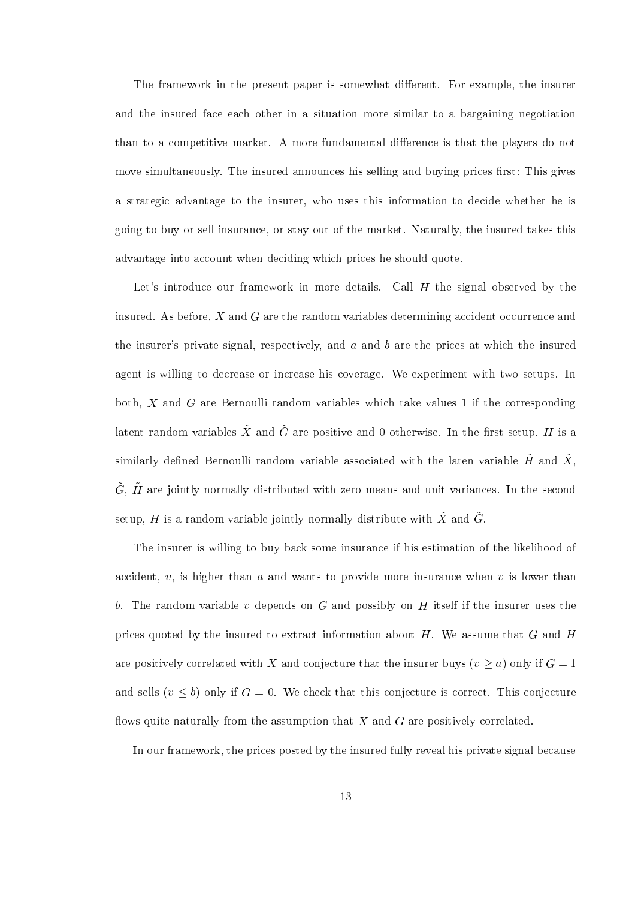The framework in the present paper is somewhat different. For example, the insurer and the insured face each other in a situation more similar to a bargaining negotiation than to a competitive market. A more fundamental difference is that the players do not move simultaneously. The insured announces his selling and buying prices first: This gives a strategic advantage to the insurer, who uses this information to decide whether he is going to buy or sell insurance, or stay out of the market. Naturally, the insured takes this advantage into account when deciding which prices he should quote.

Let's introduce our framework in more details. Call  $H$  the signal observed by the insured. As before,  $X$  and  $G$  are the random variables determining accident occurrence and the insurer's private signal, respectively, and  $a$  and  $b$  are the prices at which the insured agent is willing to decrease or increase his coverage. We experiment with two setups. In both,  $X$  and  $G$  are Bernoulli random variables which take values 1 if the corresponding latent random variables  $\tilde{X}$  and  $\tilde{G}$  are positive and 0 otherwise. In the first setup, H is a similarly defined Bernoulli random variable associated with the laten variable  $\tilde{H}$  and  $\tilde{X}$ ,  $\tilde{G}, \tilde{H}$  are jointly normally distributed with zero means and unit variances. In the second setup, H is a random variable jointly normally distribute with  $\tilde{X}$  and  $\tilde{G}$ .

The insurer is willing to buy back some insurance if his estimation of the likelihood of accident,  $v$ , is higher than  $a$  and wants to provide more insurance when  $v$  is lower than b. The random variable  $v$  depends on  $G$  and possibly on  $H$  itself if the insurer uses the prices quoted by the insured to extract information about  $H$ . We assume that  $G$  and  $H$ are positively correlated with X and conjecture that the insurer buys  $(v \ge a)$  only if  $G = 1$ and sells  $(v \leq b)$  only if  $G = 0$ . We check that this conjecture is correct. This conjecture flows quite naturally from the assumption that  $X$  and  $G$  are positively correlated.

In our framework, the prices posted by the insured fully reveal his private signal because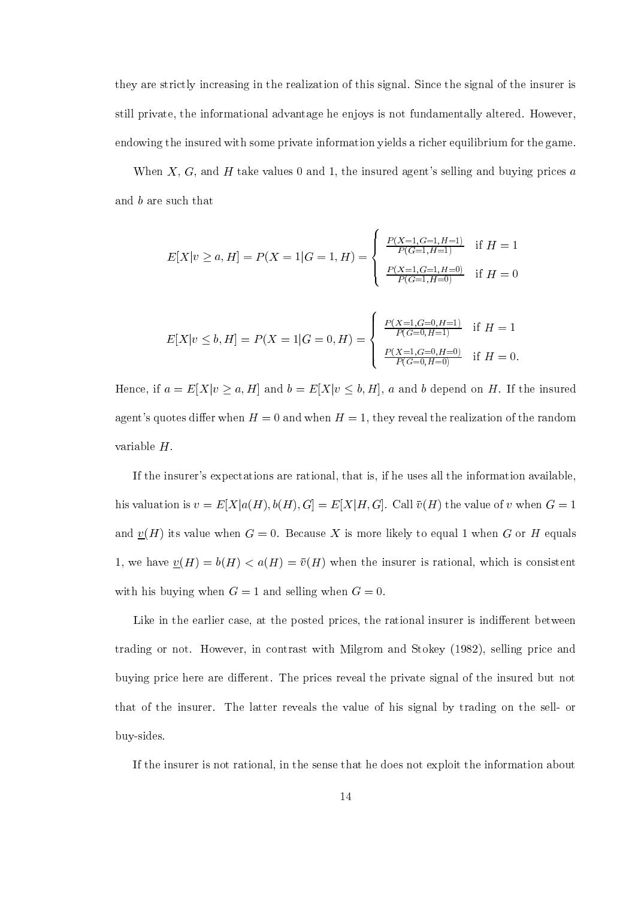they are strictly increasing in the realization of this signal. Since the signal of the insurer is still private, the informational advantage he enjoys is not fundamentally altered. However, endowing the insured with some private information yields a richer equilibrium for the game.

When  $X, G$ , and  $H$  take values 0 and 1, the insured agent's selling and buying prices a and  $b$  are such that

$$
E[X|v \ge a, H] = P(X = 1|G = 1, H) = \begin{cases} \frac{P(X=1, G=1, H=1)}{P(G=1, H=1)} & \text{if } H=1\\ \frac{P(X=1, G=1, H=0)}{P(G=1, H=0)} & \text{if } H=0 \end{cases}
$$
  

$$
E[X|v \le b, H] = P(X = 1|G = 0, H) = \begin{cases} \frac{P(X=1, G=0, H=1)}{P(G=0, H=1)} & \text{if } H=1\\ \frac{P(X=1, G=0, H=1)}{P(G=0, H=0)} & \text{if } H=0. \end{cases}
$$

Hence, if  $a = E[X|v \ge a, H]$  and  $b = E[X|v \le b, H]$ , a and b depend on H. If the insured agent's quotes differ when  $H = 0$  and when  $H = 1$ , they reveal the realization of the random variable  $H$ .

If the insurer's expectations are rational, that is, if he uses all the information available, his valuation is  $v = E[X|a(H), b(H), G] = E[X|H, G]$ . Call  $\bar{v}(H)$  the value of v when  $G = 1$ and  $\underline{v}(H)$  its value when  $G = 0$ . Because X is more likely to equal 1 when G or H equals 1, we have  $\underline{v}(H) = b(H) < a(H) = \overline{v}(H)$  when the insurer is rational, which is consistent with his buying when  $G = 1$  and selling when  $G = 0$ .

Like in the earlier case, at the posted prices, the rational insurer is indifferent between trading or not. However, in contrast with Milgrom and Stokey  $(1982)$ , selling price and buying price here are different. The prices reveal the private signal of the insured but not that of the insurer. The latter reveals the value of his signal by trading on the sell- or buy-sides.

If the insurer is not rational, in the sense that he does not exploit the information about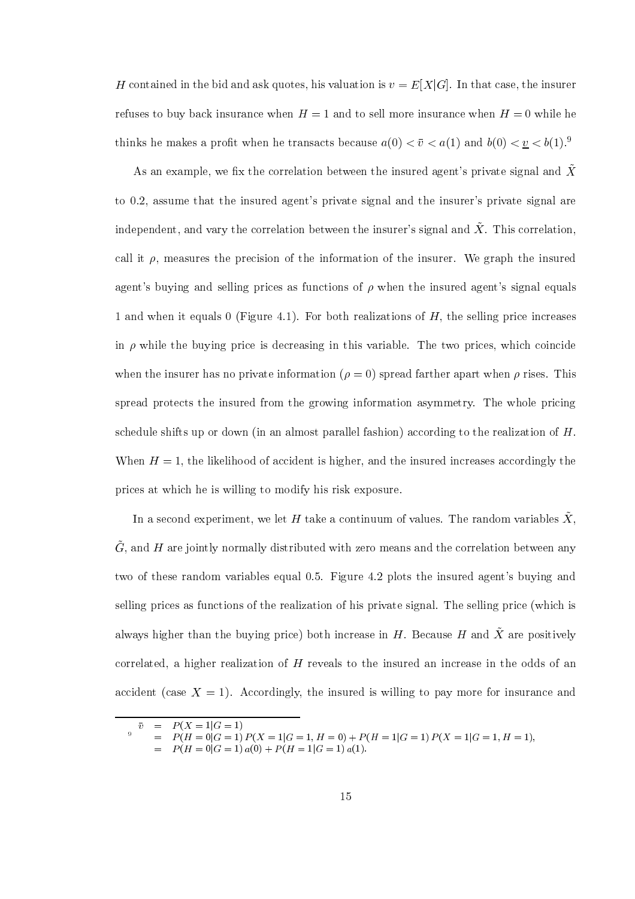H contained in the bid and ask quotes, his valuation is  $v = E[X|G]$ . In that case, the insurer refuses to buy back insurance when  $H = 1$  and to sell more insurance when  $H = 0$  while he thinks he makes a profit when he transacts because  $a(0) < \bar{v} < a(1)$  and  $b(0) < \underline{v} < b(1)^9$ 

As an example, we fix the correlation between the insured agent's private signal and  $\tilde{X}$ to 0.2, assume that the insured agent's private signal and the insurer's private signal are independent, and vary the correlation between the insurer's signal and  $\ddot{X}$ . This correlation, call it  $\rho$ , measures the precision of the information of the insurer. We graph the insured agent's buying and selling prices as functions of  $\rho$  when the insured agent's signal equals 1 and when it equals 0 (Figure 4.1). For both realizations of  $H$ , the selling price increases in  $\rho$  while the buying price is decreasing in this variable. The two prices, which coincide when the insurer has no private information ( $\rho = 0$ ) spread farther apart when  $\rho$  rises. This spread protects the insured from the growing information asymmetry. The whole pricing schedule shifts up or down (in an almost parallel fashion) according to the realization of  $H$ . When  $H = 1$ , the likelihood of accident is higher, and the insured increases accordingly the prices at which he is willing to modify his risk exposure.

In a second experiment, we let H take a continuum of values. The random variables  $\tilde{X}$ ,  $\tilde{G}$ , and H are jointly normally distributed with zero means and the correlation between any two of these random variables equal 0.5. Figure 4.2 plots the insured agent's buying and selling prices as functions of the realization of his private signal. The selling price (which is always higher than the buying price) both increase in H. Because H and  $\tilde{X}$  are positively correlated, a higher realization of  $H$  reveals to the insured an increase in the odds of an accident (case  $X = 1$ ). Accordingly, the insured is willing to pay more for insurance and

 $\begin{array}{rcl}\n\bar{v} & = & P(X=1|G=1) \\
\bar{v} & = & P(H=0|G=1) P(X=1|G=1,H=0) + P(H=1|G=1) P(X=1|G=1,H=1), \\
& = & P(H=0|G=1) a(0) + P(H=1|G=1) a(1).\n\end{array}$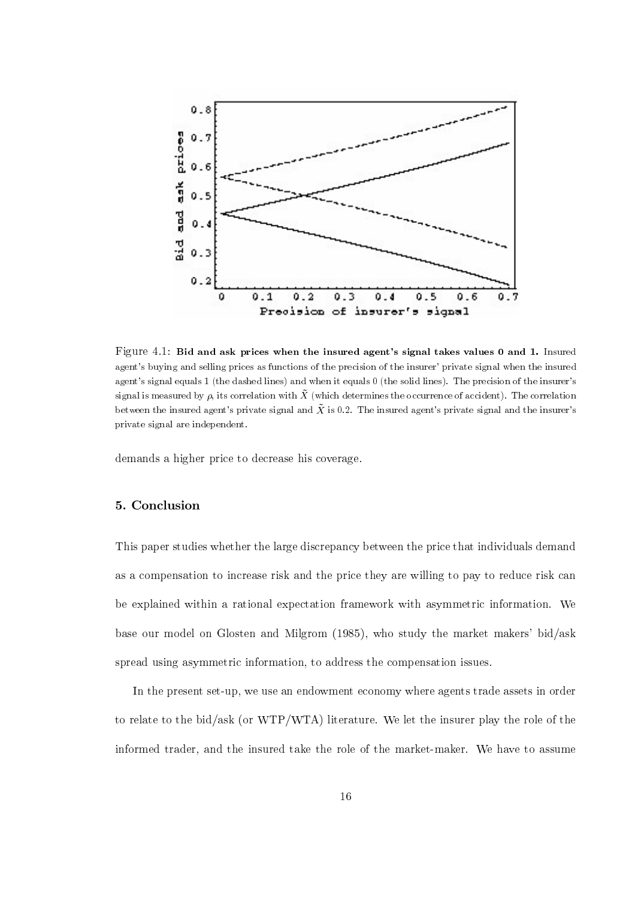

Figure 4.1: Bid and ask prices when the insured agent's signal takes values 0 and 1. Insured agent's buying and selling prices as functions of the precision of the insurer' private signal when the insured agent's signal equals 1 (the dashed lines) and when it equals 0 (the solid lines). The precision of the insurer's signal is measured by  $\rho$ , its correlation with  $\tilde{X}$  (which determines the occurrence of accident). The correlation between the insured agent's private signal and  $\tilde{X}$  is 0.2. The insured agent's private signal and the insurer's private signal are independent.

demands a higher price to decrease his coverage.

# 5. Conclusion

This paper studies whether the large discrepancy between the price that individuals demand as a compensation to increase risk and the price they are willing to pay to reduce risk can be explained within a rational expectation framework with asymmetric information. We base our model on Glosten and Milgrom (1985), who study the market makers' bid/ask spread using asymmetric information, to address the compensation issues.

In the present set-up, we use an endowment economy where agents trade assets in order to relate to the bid/ask (or WTP/WTA) literature. We let the insurer play the role of the informed trader, and the insured take the role of the market-maker. We have to assume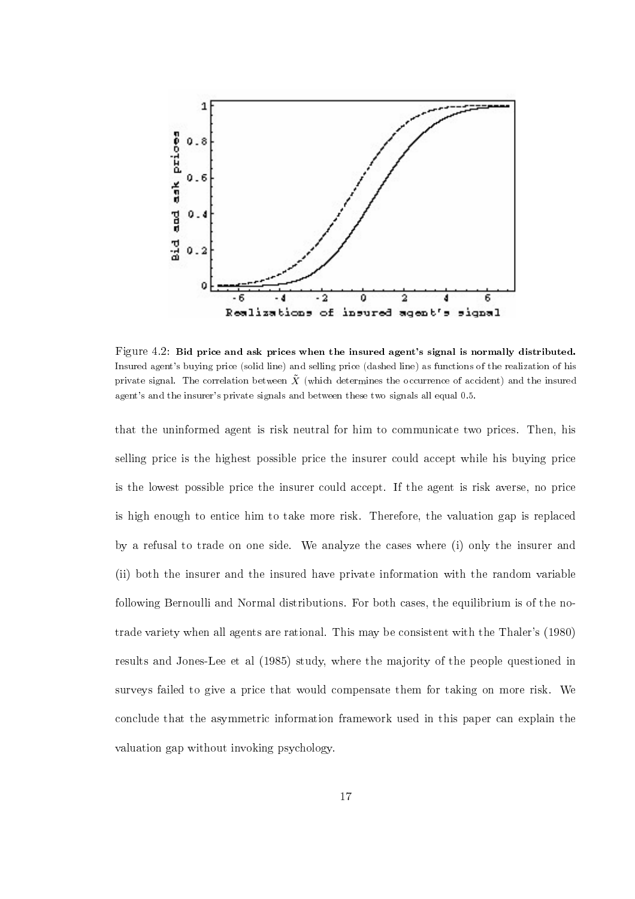

Figure 4.2: Bid price and ask prices when the insured agent's signal is normally distributed. Insured agent's buying price (solid line) and selling price (dashed line) as functions of the realization of his private signal. The correlation between  $\tilde{X}$  (which determines the occurrence of accident) and the insured agent's and the insurer's private signals and between these two signals all equal 0.5.

that the uninformed agent is risk neutral for him to communicate two prices. Then, his selling price is the highest possible price the insurer could accept while his buying price is the lowest possible price the insurer could accept. If the agent is risk averse, no price is high enough to entice him to take more risk. Therefore, the valuation gap is replaced by a refusal to trade on one side. We analyze the cases where (i) only the insurer and (ii) both the insurer and the insured have private information with the random variable following Bernoulli and Normal distributions. For both cases, the equilibrium is of the notrade variety when all agents are rational. This may be consistent with the Thaler's (1980) results and Jones-Lee et al (1985) study, where the majority of the people questioned in surveys failed to give a price that would compensate them for taking on more risk. We conclude that the asymmetric information framework used in this paper can explain the valuation gap without invoking psychology.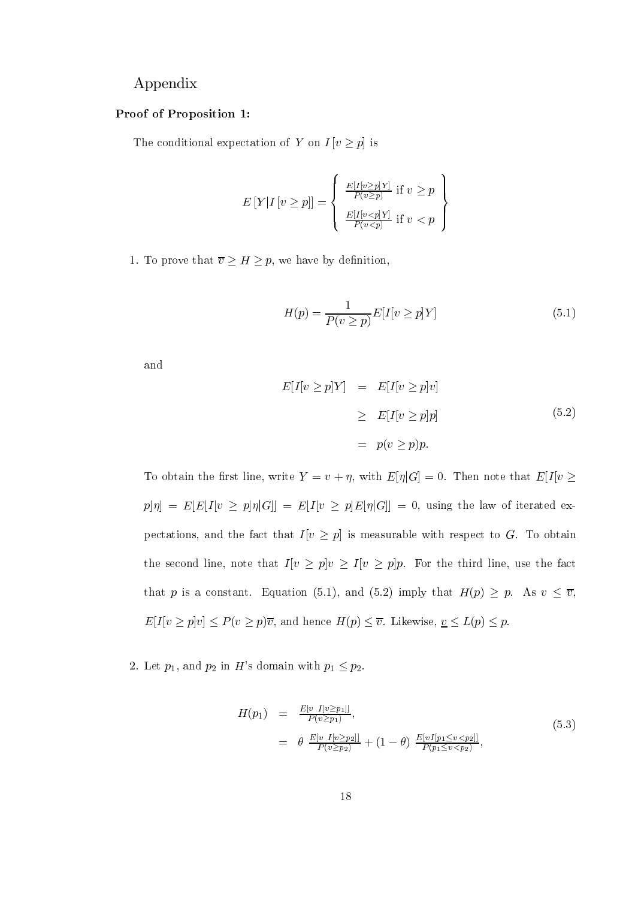## Appendix

#### Proof of Proposition 1:

The conditional expectation of Y on  $I[v \ge p]$  is

$$
E[Y|I[v \ge p]] = \begin{cases} \frac{E[I[v \ge p]Y]}{P(v \ge p)} & \text{if } v \ge p \\ \frac{E[I[v \le p]Y]}{P(v \le p)} & \text{if } v < p \end{cases}
$$

1. To prove that  $\overline{v} \geq H \geq p$ , we have by definition,

$$
H(p) = \frac{1}{P(v \ge p)} E[I[v \ge p]Y]
$$
\n
$$
(5.1)
$$

and

$$
E[I[v \ge p]Y] = E[I[v \ge p]v]
$$
  
\n
$$
\ge E[I[v \ge p]p]
$$
  
\n
$$
= p(v \ge p)p.
$$
\n(5.2)

To obtain the first line, write  $Y = v + \eta$ , with  $E[\eta|G] = 0$ . Then note that  $E[I]v \geq$  $p|\eta| = E[E[I[v \ge p]\eta|G]] = E[I[v \ge p]E[\eta|G]] = 0$ , using the law of iterated expectations, and the fact that  $I[v \geq p]$  is measurable with respect to G. To obtain the second line, note that  $I[v \geq p]v \geq I[v \geq p]p$ . For the third line, use the fact that p is a constant. Equation (5.1), and (5.2) imply that  $H(p) \geq p$ . As  $v \leq \overline{v}$ ,  $E[I[v \ge p]v] \le P(v \ge p)\overline{v}$ , and hence  $H(p) \le \overline{v}$ . Likewise,  $\underline{v} \le L(p) \le p$ .

2. Let  $p_1$ , and  $p_2$  in H's domain with  $p_1 \leq p_2$ .

$$
H(p_1) = \frac{E[v \ I[v \ge p_1]]}{P(v \ge p_1)},
$$
  
=  $\theta \frac{E[v \ I[v \ge p_2]]}{P(v \ge p_2)} + (1 - \theta) \frac{E[v \ I[p_1 \le v \le p_2]]}{P(p_1 \le v \le p_2)},$  (5.3)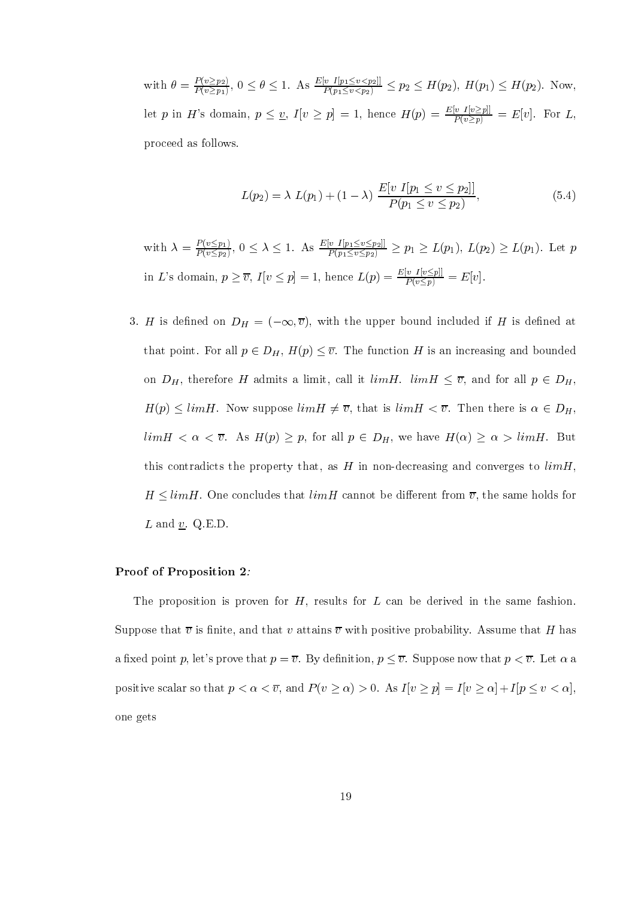with  $\theta = \frac{P(v \ge p_2)}{P(v \ge p_1)}$ ,  $0 \le \theta \le 1$ . As  $\frac{E[v \ I[p_1 \le v < p_2]]}{P(p_1 \le v < p_2)} \le p_2 \le H(p_2)$ ,  $H(p_1) \le H(p_2)$ . Now, let p in H's domain,  $p \leq \underline{v}$ ,  $I[v \geq p] = 1$ , hence  $H(p) = \frac{E[v \ I[v \geq p]]}{P(v \geq p)} = E[v]$ . For L, proceed as follows.

$$
L(p_2) = \lambda L(p_1) + (1 - \lambda) \frac{E[v \ I[p_1 \le v \le p_2]]}{P(p_1 \le v \le p_2)},
$$
\n(5.4)

with  $\lambda = \frac{P(v \leq p_1)}{P(v \leq p_2)}$ ,  $0 \leq \lambda \leq 1$ . As  $\frac{E[v \ I[p_1 \leq v \leq p_2]]}{P(p_1 \leq v \leq p_2)} \geq p_1 \geq L(p_1)$ ,  $L(p_2) \geq L(p_1)$ . Let p in L's domain,  $p \geq \overline{v}$ ,  $I[v \leq p] = 1$ , hence  $L(p) = \frac{E[v \ I[v \leq p]]}{P(v \leq p)} = E[v]$ .

3. H is defined on  $D_H = (-\infty, \overline{v})$ , with the upper bound included if H is defined at that point. For all  $p \in D_H$ ,  $H(p) \leq \overline{v}$ . The function H is an increasing and bounded on  $D_H$ , therefore H admits a limit, call it  $lim H$ .  $lim H \leq \overline{v}$ , and for all  $p \in D_H$ ,  $H(p) \leq limH$ . Now suppose  $limH \neq \overline{v}$ , that is  $limH < \overline{v}$ . Then there is  $\alpha \in D_H$ ,  $\lim H < \alpha < \overline{\upsilon}$ . As  $H(p) \ge p$ , for all  $p \in D_H$ , we have  $H(\alpha) \ge \alpha > \lim H$ . But this contradicts the property that, as  $H$  in non-decreasing and converges to  $\lim H$ ,  $H \leq limH$ . One concludes that  $limH$  cannot be different from  $\overline{v}$ , the same holds for  $L$  and  $v$ . Q.E.D.

#### Proof of Proposition 2:

The proposition is proven for  $H$ , results for  $L$  can be derived in the same fashion. Suppose that  $\overline{v}$  is finite, and that v attains  $\overline{v}$  with positive probability. Assume that H has a fixed point p, let's prove that  $p = \overline{v}$ . By definition,  $p \leq \overline{v}$ . Suppose now that  $p < \overline{v}$ . Let  $\alpha$  a positive scalar so that  $p < \alpha < \overline{v}$ , and  $P(v \ge \alpha) > 0$ . As  $I[v \ge p] = I[v \ge \alpha] + I[p \le v < \alpha]$ , one gets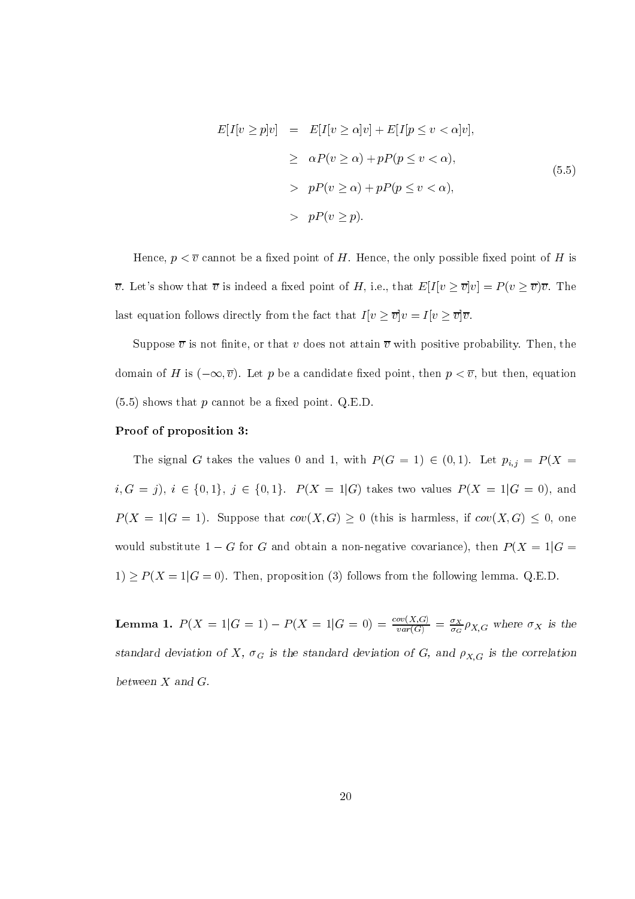$$
E[I[v \ge p]v] = E[I[v \ge \alpha]v] + E[I[p \le v < \alpha]v],
$$
\n
$$
\ge \alpha P(v \ge \alpha) + p P(p \le v < \alpha),
$$
\n
$$
> p P(v \ge \alpha) + p P(p \le v < \alpha),
$$
\n
$$
p P(v \ge p).
$$
\n(5.5)

Hence,  $p < \overline{v}$  cannot be a fixed point of H. Hence, the only possible fixed point of H is  $\overline{v}$ . Let's show that  $\overline{v}$  is indeed a fixed point of H, i.e., that  $E[I[v \ge \overline{v}]v] = P(v \ge \overline{v})\overline{v}$ . The last equation follows directly from the fact that  $I[v \ge \overline{v}]v = I[v \ge \overline{v}]\overline{v}$ .

Suppose  $\overline{v}$  is not finite, or that v does not attain  $\overline{v}$  with positive probability. Then, the domain of H is  $(-\infty, \overline{v})$ . Let p be a candidate fixed point, then  $p < \overline{v}$ , but then, equation  $(5.5)$  shows that p cannot be a fixed point. Q.E.D.

#### Proof of proposition 3:

The signal G takes the values 0 and 1, with  $P(G = 1) \in (0,1)$ . Let  $p_{i,j} = P(X =$  $i, G = j$ ,  $i \in \{0, 1\}, j \in \{0, 1\}.$   $P(X = 1|G)$  takes two values  $P(X = 1|G = 0)$ , and  $P(X = 1|G = 1)$ . Suppose that  $cov(X, G) \ge 0$  (this is harmless, if  $cov(X, G) \le 0$ , one would substitute  $1-G$  for G and obtain a non-negative covariance), then  $P(X = 1|G =$  $1) \geq P(X = 1|G = 0)$ . Then, proposition (3) follows from the following lemma. Q.E.D.

**Lemma 1.**  $P(X = 1|G = 1) - P(X = 1|G = 0) = \frac{cov(X, G)}{var(G)} = \frac{\sigma_X}{\sigma_G} \rho_{X, G}$  where  $\sigma_X$  is the standard deviation of X,  $\sigma_G$  is the standard deviation of G, and  $\rho_{X,G}$  is the correlation between  $X$  and  $G$ .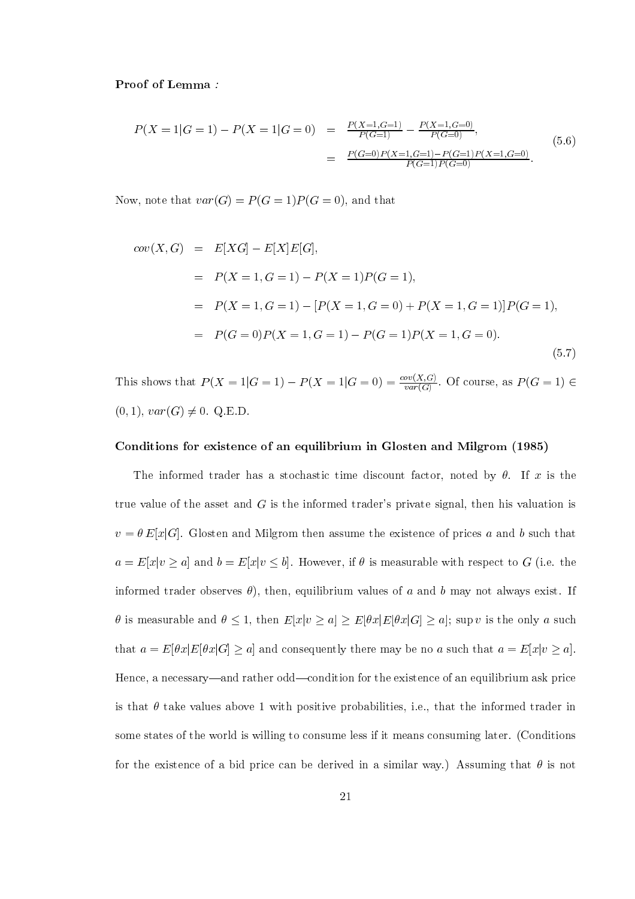#### Proof of Lemma:

$$
P(X = 1|G = 1) - P(X = 1|G = 0) = \frac{P(X=1, G=1)}{P(G=1)} - \frac{P(X=1, G=0)}{P(G=0)},
$$
  
= 
$$
\frac{P(G=0)P(X=1, G=1) - P(G=1)P(X=1, G=0)}{P(G=1)P(G=0)}.
$$
(5.6)

Now, note that  $var(G)=P(G=1)P(G=0),$  and that

$$
cov(X, G) = E[XG] - E[X]E[G],
$$
  
=  $P(X = 1, G = 1) - P(X = 1)P(G = 1),$   
=  $P(X = 1, G = 1) - [P(X = 1, G = 0) + P(X = 1, G = 1)]P(G = 1),$   
=  $P(G = 0)P(X = 1, G = 1) - P(G = 1)P(X = 1, G = 0).$  (5.7)

This shows that  $P(X = 1|G = 1) - P(X = 1|G = 0) = \frac{cov(X, G)}{var(G)}$ . Of course, as  $P(G = 1) \in$  $(0,1), \, var(G) \neq 0.$  Q.E.D.

#### Conditions for existence of an equilibrium in Glosten and Milgrom (1985)

The informed trader has a stochastic time discount factor, noted by  $\theta$ . If x is the true value of the asset and  $G$  is the informed trader's private signal, then his valuation is  $v = \theta E[x|G]$ . Glosten and Milgrom then assume the existence of prices a and b such that  $a = E[x|v \ge a]$  and  $b = E[x|v \le b]$ . However, if  $\theta$  is measurable with respect to G (i.e. the informed trader observes  $\theta$ ), then, equilibrium values of a and b may not always exist. If  $\theta$  is measurable and  $\theta \leq 1$ , then  $E[x|v \geq a] \geq E[\theta x|E[\theta x|G] \geq a]$ ; sup v is the only a such that  $a = E[\theta x | E[\theta x | G] \ge a]$  and consequently there may be no a such that  $a = E[x | v \ge a]$ . Hence, a necessary—and rather odd—condition for the existence of an equilibrium ask price is that  $\theta$  take values above 1 with positive probabilities, i.e., that the informed trader in some states of the world is willing to consume less if it means consuming later. (Conditions for the existence of a bid price can be derived in a similar way.) Assuming that  $\theta$  is not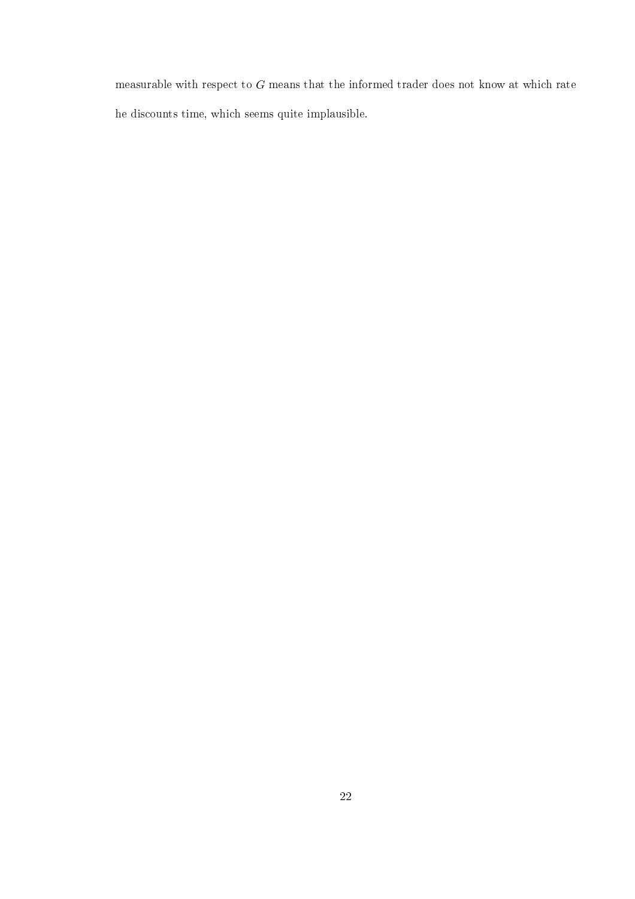measurable with respect to  $G$  means that the informed trader does not know at which rate he discounts time, which seems quite implausible.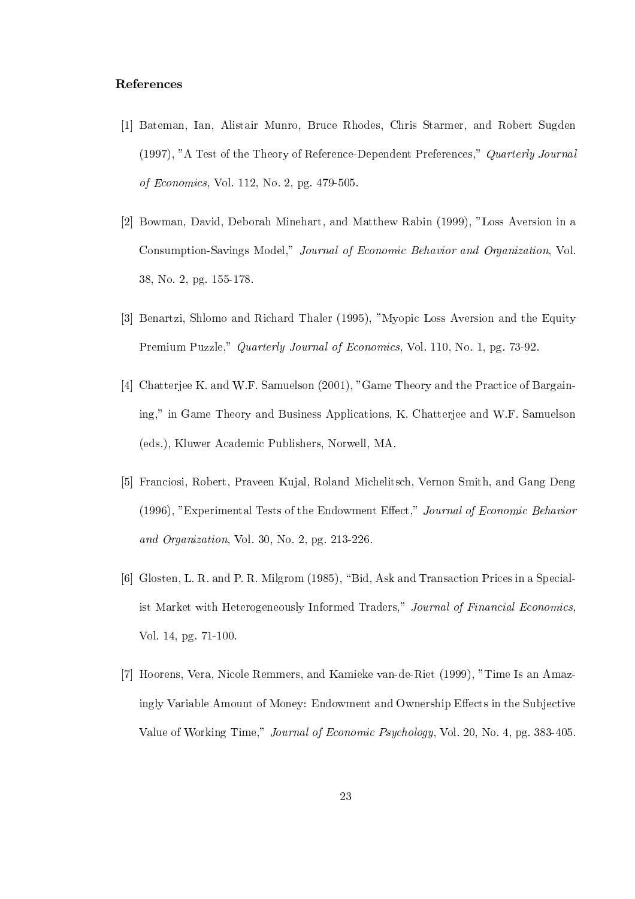# **References**

- <sup>[1]</sup> Bateman, Ian, Alistair Munro, Bruce Rhodes, Chris Starmer, and Robert Sugden (1997), "A Test of the Theory of Reference-Dependent Preferences," Quarterly Journal of Economics, Vol. 112, No. 2, pg. 479-505.
- [2] Bowman, David, Deborah Minehart, and Matthew Rabin (1999), "Loss Aversion in a Consumption-Savings Model," Journal of Economic Behavior and Organization, Vol. 38, No. 2, pg. 155-178.
- [3] Benartzi, Shlomo and Richard Thaler (1995), "Myopic Loss Aversion and the Equity Premium Puzzle," *Quarterly Journal of Economics*, Vol. 110, No. 1, pg. 73-92.
- $[4]$  Chatterjee K. and W.F. Samuelson  $(2001)$ , "Game Theory and the Practice of Bargaining," in Game Theory and Business Applications, K. Chatterjee and W.F. Samuelson (eds.), Kluwer Academic Publishers, Norwell, MA.
- <sup>[5]</sup> Franciosi, Robert, Praveen Kujal, Roland Michelitsch, Vernon Smith, and Gang Deng (1996), "Experimental Tests of the Endowment Effect," Journal of Economic Behavior and Organization, Vol. 30, No. 2, pg.  $213-226$ .
- $[6]$  Glosten, L. R. and P. R. Milgrom  $(1985)$ , "Bid, Ask and Transaction Prices in a Specialist Market with Heterogeneously Informed Traders," Journal of Financial Economics, Vol. 14, pg. 71-100.
- [7] Hoorens, Vera, Nicole Remmers, and Kamieke van-de-Riet (1999), "Time Is an Amazingly Variable Amount of Money: Endowment and Ownership Effects in the Subjective Value of Working Time," Journal of Economic Psychology, Vol. 20, No. 4, pg. 383-405.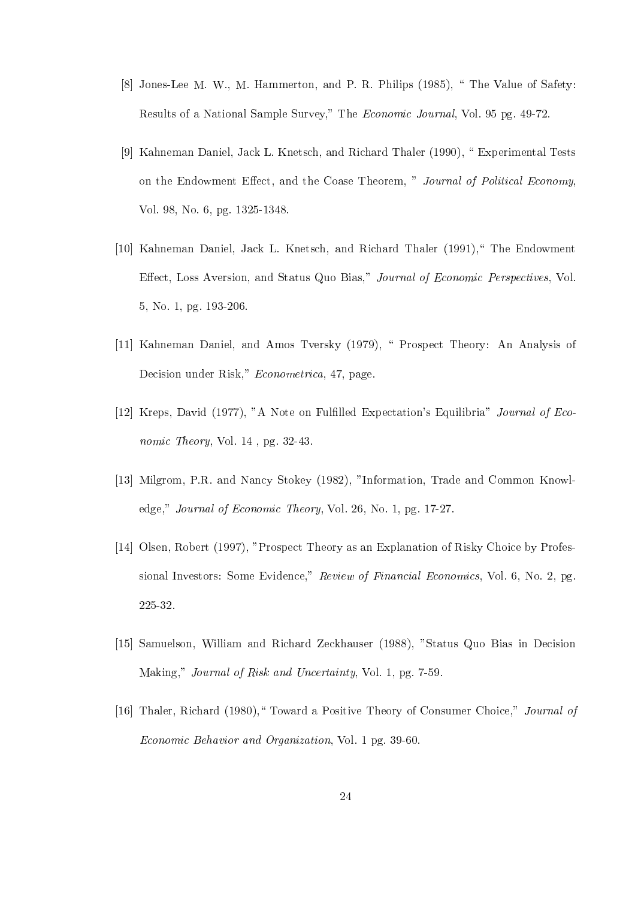- [8] Jones-Lee M. W., M. Hammerton, and P. R. Philips (1985), "The Value of Safety: Results of a National Sample Survey," The Economic Journal, Vol. 95 pg. 49-72.
- [9] Kahneman Daniel, Jack L. Knetsch, and Richard Thaler (1990), "Experimental Tests on the Endowment Effect, and the Coase Theorem, " Journal of Political Economy, Vol. 98, No. 6, pg. 1325-1348.
- $[10]$  Kahneman Daniel, Jack L. Knetsch, and Richard Thaler  $(1991)$ , The Endowment Effect, Loss Aversion, and Status Quo Bias," Journal of Economic Perspectives, Vol. 5, No. 1, pg. 193-206.
- [11] Kahneman Daniel, and Amos Tversky (1979), " Prospect Theory: An Analysis of Decision under Risk," Econometrica, 47, page.
- [12] Kreps, David (1977), "A Note on Fulfilled Expectation's Equilibria" Journal of Economic Theory, Vol.  $14$ , pg.  $32-43$ .
- [13] Milgrom, P.R. and Nancy Stokey (1982), "Information, Trade and Common Knowledge." *Journal of Economic Theory*, Vol. 26, No. 1, pg. 17-27.
- [14] Olsen, Robert (1997), "Prospect Theory as an Explanation of Risky Choice by Professional Investors: Some Evidence," Review of Financial Economics, Vol. 6, No. 2, pg. 225-32.
- [15] Samuelson, William and Richard Zeckhauser (1988), "Status Quo Bias in Decision Making," Journal of Risk and Uncertainty, Vol. 1, pg. 7-59.
- [16] Thaler, Richard  $(1980)$ , "Toward a Positive Theory of Consumer Choice," Journal of Economic Behavior and Organization, Vol. 1 pg. 39-60.